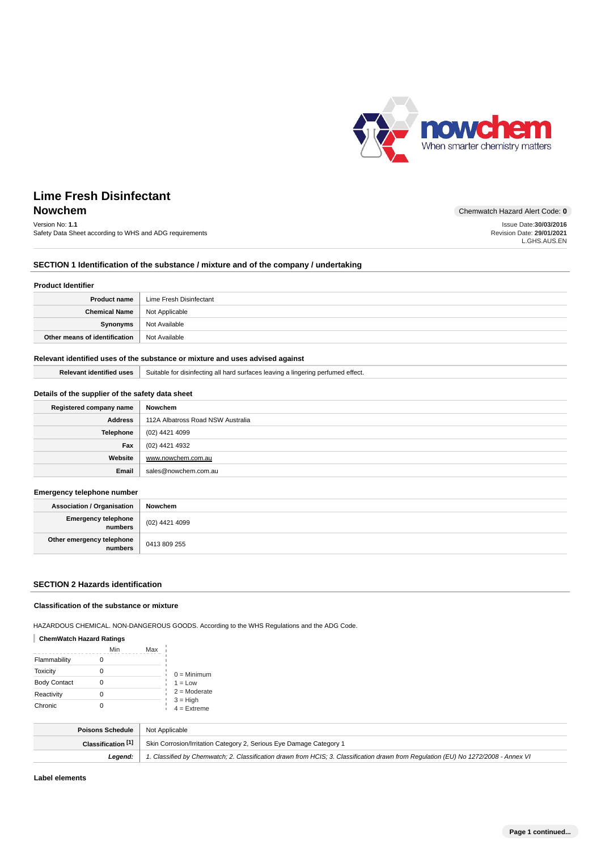

# Version No: **1.1**

Safety Data Sheet according to WHS and ADG requirements

**Nowchem** Chemwatch Hazard Alert Code: 0 Issue Date:**30/03/2016**

Revision Date: **29/01/2021** L.GHS.AUS.EN

## **SECTION 1 Identification of the substance / mixture and of the company / undertaking**

#### **Product Identifier**

| <b>Product name</b>                   | Lime Fresh Disinfectant |
|---------------------------------------|-------------------------|
| <b>Chemical Name</b>   Not Applicable |                         |
| Synonyms                              | Not Available           |
| Other means of identification         | Not Available           |

## **Relevant identified uses of the substance or mixture and uses advised against**

Relevant identified uses | Suitable for disinfecting all hard surfaces leaving a lingering perfumed effect.

## **Details of the supplier of the safety data sheet**

| Registered company name | Nowchem                           |
|-------------------------|-----------------------------------|
| <b>Address</b>          | 112A Albatross Road NSW Australia |
| <b>Telephone</b>        | (02) 4421 4099                    |
| Fax                     | (02) 4421 4932                    |
| Website                 | www.nowchem.com.au                |
| Email                   | sales@nowchem.com.au              |

### **Emergency telephone number**

| <b>Association / Organisation</b>    | Nowchem        |
|--------------------------------------|----------------|
| Emergency telephone<br>numbers       | (02) 4421 4099 |
| Other emergency telephone<br>numbers | 0413 809 255   |

## **SECTION 2 Hazards identification**

## **Classification of the substance or mixture**

HAZARDOUS CHEMICAL. NON-DANGEROUS GOODS. According to the WHS Regulations and the ADG Code.

## **ChemWatch Hazard Ratings**

|                     | Min | Max |                             |
|---------------------|-----|-----|-----------------------------|
| Flammability        |     |     |                             |
| Toxicity            |     |     | $0 =$ Minimum               |
| <b>Body Contact</b> |     |     | $1 = Low$                   |
| Reactivity          |     |     | $2 =$ Moderate              |
| Chronic             |     |     | $3 = High$<br>$4 =$ Extreme |

| Poisons Schedule   | Not Applicable                                                                                                                      |
|--------------------|-------------------------------------------------------------------------------------------------------------------------------------|
| Classification [1] | Skin Corrosion/Irritation Category 2, Serious Eye Damage Category 1                                                                 |
| Leaend:            | 1. Classified by Chemwatch; 2. Classification drawn from HCIS; 3. Classification drawn from Regulation (EU) No 1272/2008 - Annex VI |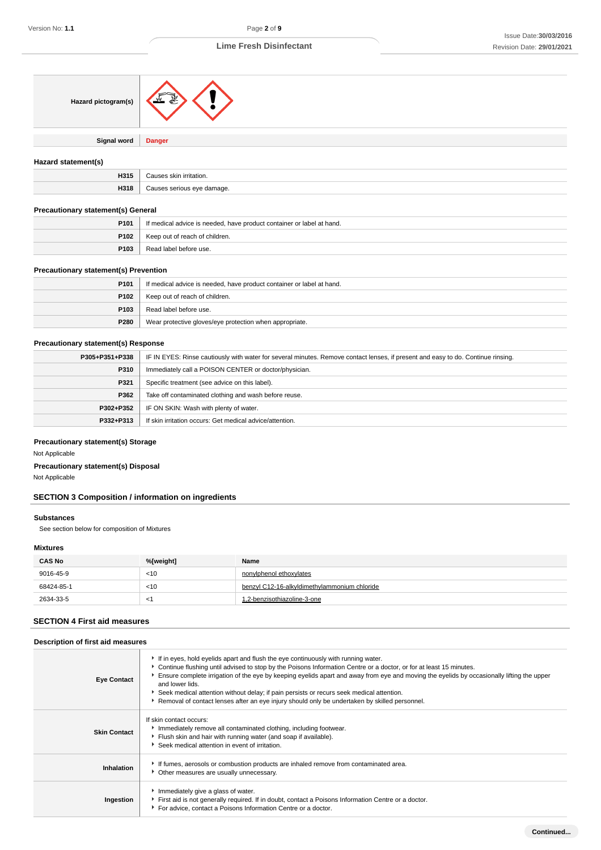| Hazard pictogram(s)                        |                                                                                                                                  |  |
|--------------------------------------------|----------------------------------------------------------------------------------------------------------------------------------|--|
| <b>Signal word</b>                         | <b>Danger</b>                                                                                                                    |  |
| Hazard statement(s)                        |                                                                                                                                  |  |
| H315                                       | Causes skin irritation.                                                                                                          |  |
| H318                                       | Causes serious eye damage.                                                                                                       |  |
| Precautionary statement(s) General         |                                                                                                                                  |  |
| P101                                       | If medical advice is needed, have product container or label at hand.                                                            |  |
| P <sub>102</sub>                           | Keep out of reach of children.                                                                                                   |  |
| P103                                       | Read label before use.                                                                                                           |  |
| Precautionary statement(s) Prevention      |                                                                                                                                  |  |
| P101                                       | If medical advice is needed, have product container or label at hand.                                                            |  |
| P <sub>102</sub>                           | Keep out of reach of children.                                                                                                   |  |
| P103                                       | Read label before use.                                                                                                           |  |
| P280                                       | Wear protective gloves/eye protection when appropriate.                                                                          |  |
| <b>Precautionary statement(s) Response</b> |                                                                                                                                  |  |
| P305+P351+P338                             | IF IN EYES: Rinse cautiously with water for several minutes. Remove contact lenses, if present and easy to do. Continue rinsing. |  |
| P310                                       | Immediately call a POISON CENTER or doctor/physician.                                                                            |  |
| P321                                       | Specific treatment (see advice on this label).                                                                                   |  |
| P362                                       | Take off contaminated clothing and wash before reuse.                                                                            |  |
| P302+P352                                  | IF ON SKIN: Wash with plenty of water.                                                                                           |  |
| P332+P313                                  | If skin irritation occurs: Get medical advice/attention.                                                                         |  |

## **Precautionary statement(s) Storage**

Not Applicable

## **Precautionary statement(s) Disposal**

Not Applicable

# **SECTION 3 Composition / information on ingredients**

## **Substances**

See section below for composition of Mixtures

## **Mixtures**

| <b>CAS No</b> | %[weight] | Name                                         |
|---------------|-----------|----------------------------------------------|
| 9016-45-9     | < 10      | nonylphenol ethoxylates                      |
| 68424-85-1    | < 10      | benzyl C12-16-alkyldimethylammonium chloride |
| 2634-33-5     | ≺1        | 1,2-benzisothiazoline-3-one                  |

## **SECTION 4 First aid measures**

## **Description of first aid measures**

| <b>Eve Contact</b>  | If in eyes, hold eyelids apart and flush the eye continuously with running water.<br>► Continue flushing until advised to stop by the Poisons Information Centre or a doctor, or for at least 15 minutes.<br>Ensure complete irrigation of the eye by keeping eyelids apart and away from eye and moving the eyelids by occasionally lifting the upper<br>and lower lids.<br>Seek medical attention without delay; if pain persists or recurs seek medical attention.<br>Removal of contact lenses after an eye injury should only be undertaken by skilled personnel. |
|---------------------|------------------------------------------------------------------------------------------------------------------------------------------------------------------------------------------------------------------------------------------------------------------------------------------------------------------------------------------------------------------------------------------------------------------------------------------------------------------------------------------------------------------------------------------------------------------------|
| <b>Skin Contact</b> | If skin contact occurs:<br>Immediately remove all contaminated clothing, including footwear.<br>Flush skin and hair with running water (and soap if available).<br>Seek medical attention in event of irritation.                                                                                                                                                                                                                                                                                                                                                      |
| Inhalation          | If fumes, aerosols or combustion products are inhaled remove from contaminated area.<br>Other measures are usually unnecessary.                                                                                                                                                                                                                                                                                                                                                                                                                                        |
| Ingestion           | Immediately give a glass of water.<br>First aid is not generally required. If in doubt, contact a Poisons Information Centre or a doctor.<br>For advice, contact a Poisons Information Centre or a doctor.                                                                                                                                                                                                                                                                                                                                                             |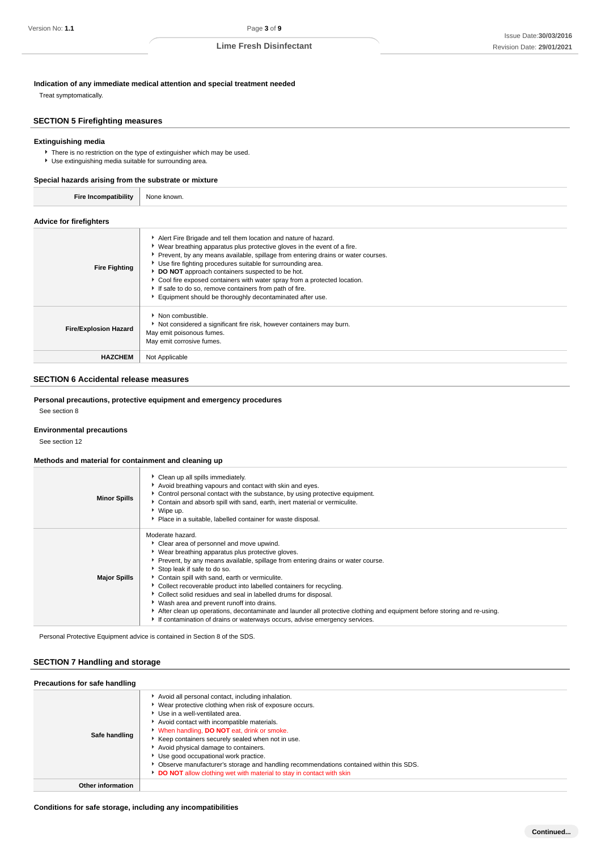**Indication of any immediate medical attention and special treatment needed**

Treat symptomatically.

## **SECTION 5 Firefighting measures**

## **Extinguishing media**

There is no restriction on the type of extinguisher which may be used.

Use extinguishing media suitable for surrounding area.

## **Special hazards arising from the substrate or mixture**

| <b>Fire Incompatibility</b>    | None known. |
|--------------------------------|-------------|
| <b>Advice for firefighters</b> |             |

| <b>Fire Fighting</b>         | Alert Fire Brigade and tell them location and nature of hazard.<br>▶ Wear breathing apparatus plus protective gloves in the event of a fire.<br>Prevent, by any means available, spillage from entering drains or water courses.<br>• Use fire fighting procedures suitable for surrounding area.<br>DO NOT approach containers suspected to be hot.<br>Cool fire exposed containers with water spray from a protected location.<br>If safe to do so, remove containers from path of fire.<br>Equipment should be thoroughly decontaminated after use. |
|------------------------------|--------------------------------------------------------------------------------------------------------------------------------------------------------------------------------------------------------------------------------------------------------------------------------------------------------------------------------------------------------------------------------------------------------------------------------------------------------------------------------------------------------------------------------------------------------|
| <b>Fire/Explosion Hazard</b> | $\blacktriangleright$ Non combustible.<br>Not considered a significant fire risk, however containers may burn.<br>May emit poisonous fumes.<br>May emit corrosive fumes.                                                                                                                                                                                                                                                                                                                                                                               |
| <b>HAZCHEM</b>               | Not Applicable                                                                                                                                                                                                                                                                                                                                                                                                                                                                                                                                         |

## **SECTION 6 Accidental release measures**

## **Personal precautions, protective equipment and emergency procedures**

See section 8

### **Environmental precautions**

See section 12

## **Methods and material for containment and cleaning up**

| <b>Minor Spills</b> | Clean up all spills immediately.<br>Avoid breathing vapours and contact with skin and eyes.<br>Control personal contact with the substance, by using protective equipment.<br>Contain and absorb spill with sand, earth, inert material or vermiculite.<br>▶ Wipe up.<br>• Place in a suitable, labelled container for waste disposal.                                                                                                                                                                                                                                                                                                                                                       |
|---------------------|----------------------------------------------------------------------------------------------------------------------------------------------------------------------------------------------------------------------------------------------------------------------------------------------------------------------------------------------------------------------------------------------------------------------------------------------------------------------------------------------------------------------------------------------------------------------------------------------------------------------------------------------------------------------------------------------|
| <b>Major Spills</b> | Moderate hazard.<br>Clear area of personnel and move upwind.<br>▶ Wear breathing apparatus plus protective gloves.<br>▶ Prevent, by any means available, spillage from entering drains or water course.<br>Stop leak if safe to do so.<br>Contain spill with sand, earth or vermiculite.<br>• Collect recoverable product into labelled containers for recycling.<br>Collect solid residues and seal in labelled drums for disposal.<br>▶ Wash area and prevent runoff into drains.<br>After clean up operations, decontaminate and launder all protective clothing and equipment before storing and re-using.<br>If contamination of drains or waterways occurs, advise emergency services. |

Personal Protective Equipment advice is contained in Section 8 of the SDS.

## **SECTION 7 Handling and storage**

## **Precautions for safe handling**

| Safe handling     | Avoid all personal contact, including inhalation.<br>▶ Wear protective clothing when risk of exposure occurs.<br>Use in a well-ventilated area.<br>Avoid contact with incompatible materials.<br>V When handling, DO NOT eat, drink or smoke.<br>Keep containers securely sealed when not in use.<br>Avoid physical damage to containers.<br>Use good occupational work practice.<br>▶ Observe manufacturer's storage and handling recommendations contained within this SDS.<br>DO NOT allow clothing wet with material to stay in contact with skin |
|-------------------|-------------------------------------------------------------------------------------------------------------------------------------------------------------------------------------------------------------------------------------------------------------------------------------------------------------------------------------------------------------------------------------------------------------------------------------------------------------------------------------------------------------------------------------------------------|
| Other information |                                                                                                                                                                                                                                                                                                                                                                                                                                                                                                                                                       |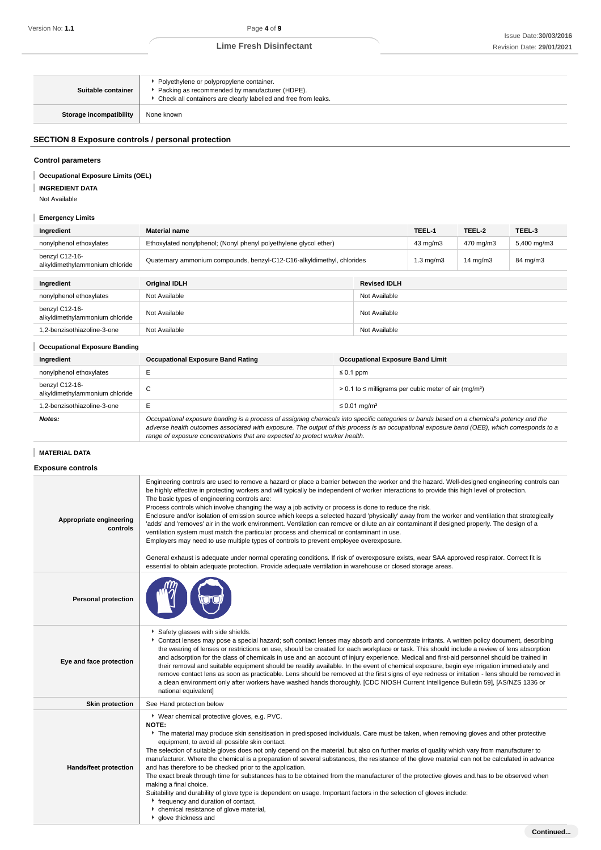| Suitable container      | Polyethylene or polypropylene container.<br>▶ Packing as recommended by manufacturer (HDPE).<br>▶ Check all containers are clearly labelled and free from leaks. |
|-------------------------|------------------------------------------------------------------------------------------------------------------------------------------------------------------|
| Storage incompatibility | None known                                                                                                                                                       |

## **SECTION 8 Exposure controls / personal protection**

## **Control parameters**

#### **Occupational Exposure Limits (OEL)** I

**INGREDIENT DATA**

Not Available

I

## **Emergency Limits**

| Ingredient                                       | <b>Material name</b>                                                   | TEEL-1             | TEEL-2              | TEEL-3      |
|--------------------------------------------------|------------------------------------------------------------------------|--------------------|---------------------|-------------|
| nonylphenol ethoxylates                          | Ethoxylated nonylphenol; (Nonyl phenyl polyethylene glycol ether)      | 43 mg/m3           | 470 mg/m3           | 5,400 mg/m3 |
| benzyl C12-16-<br>alkyldimethylammonium chloride | Quaternary ammonium compounds, benzyl-C12-C16-alkyldimethyl, chlorides | $1.3 \text{ ma/m}$ | $14 \text{ ma/m}$ 3 | 84 mg/m3    |
|                                                  |                                                                        |                    |                     |             |

| Ingredient                                       | Original IDLH | <b>Revised IDLH</b> |
|--------------------------------------------------|---------------|---------------------|
| nonylphenol ethoxylates                          | Not Available | Not Available       |
| benzyl C12-16-<br>alkyldimethylammonium chloride | Not Available | Not Available       |
| 1,2-benzisothiazoline-3-one                      | Not Available | Not Available       |

## **Occupational Exposure Banding**

| Ingredient                                       | <b>Occupational Exposure Band Rating</b>                                     | <b>Occupational Exposure Band Limit</b>                                                                                                                                                                                                                                                  |
|--------------------------------------------------|------------------------------------------------------------------------------|------------------------------------------------------------------------------------------------------------------------------------------------------------------------------------------------------------------------------------------------------------------------------------------|
| nonylphenol ethoxylates                          |                                                                              | $\leq 0.1$ ppm                                                                                                                                                                                                                                                                           |
| benzyl C12-16-<br>alkyldimethylammonium chloride | ◡                                                                            | $> 0.1$ to $\leq$ milligrams per cubic meter of air (mg/m <sup>3</sup> )                                                                                                                                                                                                                 |
| .2-benzisothiazoline-3-one                       |                                                                              | $\leq$ 0.01 mg/m <sup>3</sup>                                                                                                                                                                                                                                                            |
| Notes:                                           | range of exposure concentrations that are expected to protect worker health. | Occupational exposure banding is a process of assigning chemicals into specific categories or bands based on a chemical's potency and the<br>adverse health outcomes associated with exposure. The output of this process is an occupational exposure band (OEB), which corresponds to a |

# **MATERIAL DATA**

**Exposure controls**

| Appropriate engineering<br>controls | Engineering controls are used to remove a hazard or place a barrier between the worker and the hazard. Well-designed engineering controls can<br>be highly effective in protecting workers and will typically be independent of worker interactions to provide this high level of protection.<br>The basic types of engineering controls are:<br>Process controls which involve changing the way a job activity or process is done to reduce the risk.<br>Enclosure and/or isolation of emission source which keeps a selected hazard 'physically' away from the worker and ventilation that strategically<br>'adds' and 'removes' air in the work environment. Ventilation can remove or dilute an air contaminant if designed properly. The design of a<br>ventilation system must match the particular process and chemical or contaminant in use.<br>Employers may need to use multiple types of controls to prevent employee overexposure.<br>General exhaust is adequate under normal operating conditions. If risk of overexposure exists, wear SAA approved respirator. Correct fit is<br>essential to obtain adequate protection. Provide adequate ventilation in warehouse or closed storage areas. |
|-------------------------------------|---------------------------------------------------------------------------------------------------------------------------------------------------------------------------------------------------------------------------------------------------------------------------------------------------------------------------------------------------------------------------------------------------------------------------------------------------------------------------------------------------------------------------------------------------------------------------------------------------------------------------------------------------------------------------------------------------------------------------------------------------------------------------------------------------------------------------------------------------------------------------------------------------------------------------------------------------------------------------------------------------------------------------------------------------------------------------------------------------------------------------------------------------------------------------------------------------------------|
| <b>Personal protection</b>          |                                                                                                                                                                                                                                                                                                                                                                                                                                                                                                                                                                                                                                                                                                                                                                                                                                                                                                                                                                                                                                                                                                                                                                                                               |
| Eye and face protection             | Safety glasses with side shields.<br>▶ Contact lenses may pose a special hazard; soft contact lenses may absorb and concentrate irritants. A written policy document, describing<br>the wearing of lenses or restrictions on use, should be created for each workplace or task. This should include a review of lens absorption<br>and adsorption for the class of chemicals in use and an account of injury experience. Medical and first-aid personnel should be trained in<br>their removal and suitable equipment should be readily available. In the event of chemical exposure, begin eye irrigation immediately and<br>remove contact lens as soon as practicable. Lens should be removed at the first signs of eye redness or irritation - lens should be removed in<br>a clean environment only after workers have washed hands thoroughly. [CDC NIOSH Current Intelligence Bulletin 59], [AS/NZS 1336 or<br>national equivalent]                                                                                                                                                                                                                                                                    |
| <b>Skin protection</b>              | See Hand protection below                                                                                                                                                                                                                                                                                                                                                                                                                                                                                                                                                                                                                                                                                                                                                                                                                                                                                                                                                                                                                                                                                                                                                                                     |
| <b>Hands/feet protection</b>        | ▶ Wear chemical protective gloves, e.g. PVC.<br><b>NOTE:</b><br>The material may produce skin sensitisation in predisposed individuals. Care must be taken, when removing gloves and other protective<br>equipment, to avoid all possible skin contact.<br>The selection of suitable gloves does not only depend on the material, but also on further marks of quality which vary from manufacturer to<br>manufacturer. Where the chemical is a preparation of several substances, the resistance of the glove material can not be calculated in advance<br>and has therefore to be checked prior to the application.<br>The exact break through time for substances has to be obtained from the manufacturer of the protective gloves and has to be observed when<br>making a final choice.<br>Suitability and durability of glove type is dependent on usage. Important factors in the selection of gloves include:<br>Frequency and duration of contact,<br>• chemical resistance of glove material,<br><sup>•</sup> glove thickness and<br>Continued                                                                                                                                                      |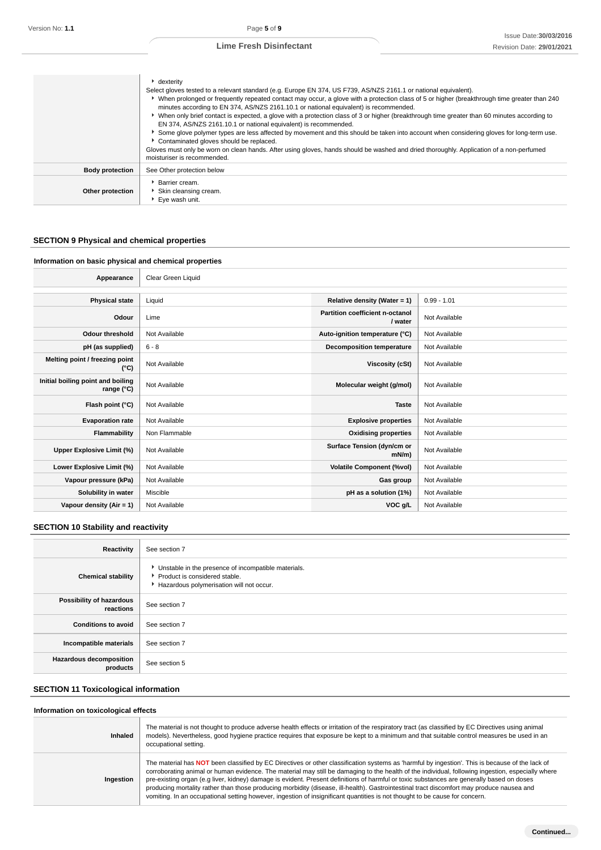|                        | $\cdot$ dexterity<br>Select gloves tested to a relevant standard (e.g. Europe EN 374, US F739, AS/NZS 2161.1 or national equivalent).<br>• When prolonged or frequently repeated contact may occur, a glove with a protection class of 5 or higher (breakthrough time greater than 240<br>minutes according to EN 374, AS/NZS 2161.10.1 or national equivalent) is recommended.<br>▶ When only brief contact is expected, a glove with a protection class of 3 or higher (breakthrough time greater than 60 minutes according to<br>EN 374, AS/NZS 2161.10.1 or national equivalent) is recommended.<br>Some glove polymer types are less affected by movement and this should be taken into account when considering gloves for long-term use.<br>Contaminated gloves should be replaced.<br>Gloves must only be worn on clean hands. After using gloves, hands should be washed and dried thoroughly. Application of a non-perfumed<br>moisturiser is recommended. |
|------------------------|----------------------------------------------------------------------------------------------------------------------------------------------------------------------------------------------------------------------------------------------------------------------------------------------------------------------------------------------------------------------------------------------------------------------------------------------------------------------------------------------------------------------------------------------------------------------------------------------------------------------------------------------------------------------------------------------------------------------------------------------------------------------------------------------------------------------------------------------------------------------------------------------------------------------------------------------------------------------|
| <b>Body protection</b> | See Other protection below                                                                                                                                                                                                                                                                                                                                                                                                                                                                                                                                                                                                                                                                                                                                                                                                                                                                                                                                           |
| Other protection       | Barrier cream.<br>Skin cleansing cream.<br>▶ Eye wash unit.                                                                                                                                                                                                                                                                                                                                                                                                                                                                                                                                                                                                                                                                                                                                                                                                                                                                                                          |

# **SECTION 9 Physical and chemical properties**

## **Information on basic physical and chemical properties**

٦

| Appearance                                      | Clear Green Liquid |                                            |               |
|-------------------------------------------------|--------------------|--------------------------------------------|---------------|
|                                                 |                    |                                            |               |
| <b>Physical state</b>                           | Liquid             | Relative density (Water = 1)               | $0.99 - 1.01$ |
| Odour                                           | Lime               | Partition coefficient n-octanol<br>/ water | Not Available |
| <b>Odour threshold</b>                          | Not Available      | Auto-ignition temperature (°C)             | Not Available |
| pH (as supplied)                                | $6 - 8$            | <b>Decomposition temperature</b>           | Not Available |
| Melting point / freezing point<br>(°C)          | Not Available      | Viscosity (cSt)                            | Not Available |
| Initial boiling point and boiling<br>range (°C) | Not Available      | Molecular weight (g/mol)                   | Not Available |
| Flash point (°C)                                | Not Available      | <b>Taste</b>                               | Not Available |
| <b>Evaporation rate</b>                         | Not Available      | <b>Explosive properties</b>                | Not Available |
| <b>Flammability</b>                             | Non Flammable      | <b>Oxidising properties</b>                | Not Available |
| Upper Explosive Limit (%)                       | Not Available      | Surface Tension (dyn/cm or<br>$mN/m$ )     | Not Available |
| Lower Explosive Limit (%)                       | Not Available      | <b>Volatile Component (%vol)</b>           | Not Available |
| Vapour pressure (kPa)                           | Not Available      | Gas group                                  | Not Available |
| Solubility in water                             | Miscible           | pH as a solution (1%)                      | Not Available |
| Vapour density $(Air = 1)$                      | Not Available      | VOC g/L                                    | Not Available |

# **SECTION 10 Stability and reactivity**

| Reactivity                                 | See section 7                                                                                                                        |
|--------------------------------------------|--------------------------------------------------------------------------------------------------------------------------------------|
| <b>Chemical stability</b>                  | • Unstable in the presence of incompatible materials.<br>▶ Product is considered stable.<br>Hazardous polymerisation will not occur. |
| Possibility of hazardous<br>reactions      | See section 7                                                                                                                        |
| <b>Conditions to avoid</b>                 | See section 7                                                                                                                        |
| Incompatible materials                     | See section 7                                                                                                                        |
| <b>Hazardous decomposition</b><br>products | See section 5                                                                                                                        |

## **SECTION 11 Toxicological information**

## **Information on toxicological effects**

| Inhaled   | The material is not thought to produce adverse health effects or irritation of the respiratory tract (as classified by EC Directives using animal<br>models). Nevertheless, good hygiene practice requires that exposure be kept to a minimum and that suitable control measures be used in an<br>occupational setting.                                                                                                                                                                                                                                                                                                                                                                                                       |
|-----------|-------------------------------------------------------------------------------------------------------------------------------------------------------------------------------------------------------------------------------------------------------------------------------------------------------------------------------------------------------------------------------------------------------------------------------------------------------------------------------------------------------------------------------------------------------------------------------------------------------------------------------------------------------------------------------------------------------------------------------|
| Ingestion | The material has NOT been classified by EC Directives or other classification systems as 'harmful by ingestion'. This is because of the lack of<br>corroborating animal or human evidence. The material may still be damaging to the health of the individual, following ingestion, especially where<br>pre-existing organ (e.g liver, kidney) damage is evident. Present definitions of harmful or toxic substances are generally based on doses<br>producing mortality rather than those producing morbidity (disease, ill-health). Gastrointestinal tract discomfort may produce nausea and<br>vomiting. In an occupational setting however, ingestion of insignificant quantities is not thought to be cause for concern. |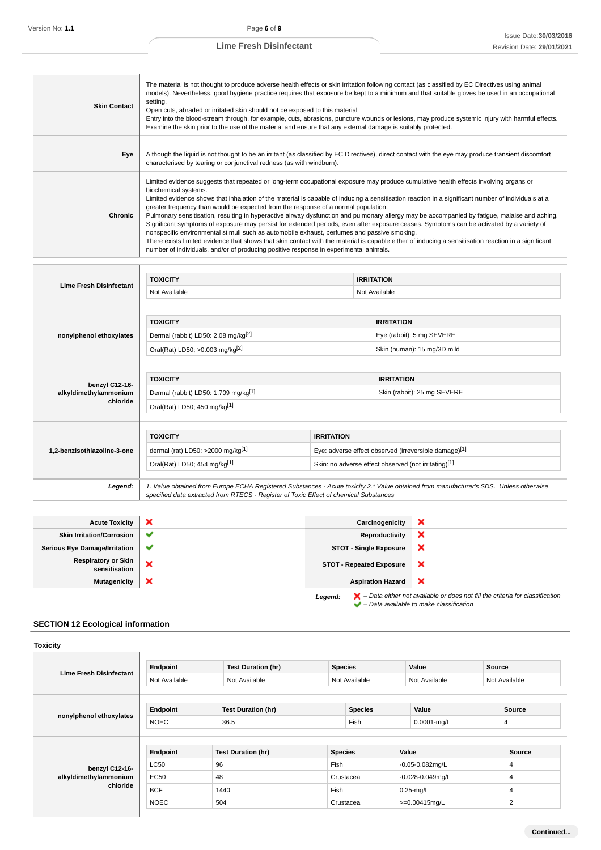| <b>Skin Contact</b>               | The material is not thought to produce adverse health effects or skin irritation following contact (as classified by EC Directives using animal<br>models). Nevertheless, good hygiene practice requires that exposure be kept to a minimum and that suitable gloves be used in an occupational<br>setting.<br>Open cuts, abraded or irritated skin should not be exposed to this material<br>Entry into the blood-stream through, for example, cuts, abrasions, puncture wounds or lesions, may produce systemic injury with harmful effects.<br>Examine the skin prior to the use of the material and ensure that any external damage is suitably protected.                                                                                                                                                                                                                                                                                                                                                                                        |                   |                                                       |                             |  |  |
|-----------------------------------|-------------------------------------------------------------------------------------------------------------------------------------------------------------------------------------------------------------------------------------------------------------------------------------------------------------------------------------------------------------------------------------------------------------------------------------------------------------------------------------------------------------------------------------------------------------------------------------------------------------------------------------------------------------------------------------------------------------------------------------------------------------------------------------------------------------------------------------------------------------------------------------------------------------------------------------------------------------------------------------------------------------------------------------------------------|-------------------|-------------------------------------------------------|-----------------------------|--|--|
| Eye                               | Although the liquid is not thought to be an irritant (as classified by EC Directives), direct contact with the eye may produce transient discomfort<br>characterised by tearing or conjunctival redness (as with windburn).                                                                                                                                                                                                                                                                                                                                                                                                                                                                                                                                                                                                                                                                                                                                                                                                                           |                   |                                                       |                             |  |  |
| <b>Chronic</b>                    | Limited evidence suggests that repeated or long-term occupational exposure may produce cumulative health effects involving organs or<br>biochemical systems.<br>Limited evidence shows that inhalation of the material is capable of inducing a sensitisation reaction in a significant number of individuals at a<br>greater frequency than would be expected from the response of a normal population.<br>Pulmonary sensitisation, resulting in hyperactive airway dysfunction and pulmonary allergy may be accompanied by fatigue, malaise and aching.<br>Significant symptoms of exposure may persist for extended periods, even after exposure ceases. Symptoms can be activated by a variety of<br>nonspecific environmental stimuli such as automobile exhaust, perfumes and passive smoking.<br>There exists limited evidence that shows that skin contact with the material is capable either of inducing a sensitisation reaction in a significant<br>number of individuals, and/or of producing positive response in experimental animals. |                   |                                                       |                             |  |  |
|                                   |                                                                                                                                                                                                                                                                                                                                                                                                                                                                                                                                                                                                                                                                                                                                                                                                                                                                                                                                                                                                                                                       |                   |                                                       |                             |  |  |
| <b>Lime Fresh Disinfectant</b>    | <b>TOXICITY</b>                                                                                                                                                                                                                                                                                                                                                                                                                                                                                                                                                                                                                                                                                                                                                                                                                                                                                                                                                                                                                                       |                   | <b>IRRITATION</b>                                     |                             |  |  |
|                                   | Not Available                                                                                                                                                                                                                                                                                                                                                                                                                                                                                                                                                                                                                                                                                                                                                                                                                                                                                                                                                                                                                                         |                   | Not Available                                         |                             |  |  |
|                                   |                                                                                                                                                                                                                                                                                                                                                                                                                                                                                                                                                                                                                                                                                                                                                                                                                                                                                                                                                                                                                                                       |                   |                                                       |                             |  |  |
|                                   | <b>TOXICITY</b>                                                                                                                                                                                                                                                                                                                                                                                                                                                                                                                                                                                                                                                                                                                                                                                                                                                                                                                                                                                                                                       |                   | <b>IRRITATION</b>                                     |                             |  |  |
| nonylphenol ethoxylates           | Dermal (rabbit) LD50: 2.08 mg/kg[2]                                                                                                                                                                                                                                                                                                                                                                                                                                                                                                                                                                                                                                                                                                                                                                                                                                                                                                                                                                                                                   |                   |                                                       | Eye (rabbit): 5 mg SEVERE   |  |  |
|                                   | Oral(Rat) LD50; >0.003 mg/kg <sup>[2]</sup>                                                                                                                                                                                                                                                                                                                                                                                                                                                                                                                                                                                                                                                                                                                                                                                                                                                                                                                                                                                                           |                   |                                                       | Skin (human): 15 mg/3D mild |  |  |
|                                   |                                                                                                                                                                                                                                                                                                                                                                                                                                                                                                                                                                                                                                                                                                                                                                                                                                                                                                                                                                                                                                                       |                   |                                                       |                             |  |  |
| benzyl C12-16-                    | <b>TOXICITY</b>                                                                                                                                                                                                                                                                                                                                                                                                                                                                                                                                                                                                                                                                                                                                                                                                                                                                                                                                                                                                                                       |                   |                                                       | <b>IRRITATION</b>           |  |  |
| alkyldimethylammonium<br>chloride | Dermal (rabbit) LD50: 1.709 mg/kg <sup>[1]</sup>                                                                                                                                                                                                                                                                                                                                                                                                                                                                                                                                                                                                                                                                                                                                                                                                                                                                                                                                                                                                      |                   |                                                       | Skin (rabbit): 25 mg SEVERE |  |  |
|                                   | Oral(Rat) LD50; 450 mg/kg[1]                                                                                                                                                                                                                                                                                                                                                                                                                                                                                                                                                                                                                                                                                                                                                                                                                                                                                                                                                                                                                          |                   |                                                       |                             |  |  |
|                                   | <b>TOXICITY</b>                                                                                                                                                                                                                                                                                                                                                                                                                                                                                                                                                                                                                                                                                                                                                                                                                                                                                                                                                                                                                                       | <b>IRRITATION</b> |                                                       |                             |  |  |
| 1,2-benzisothiazoline-3-one       | dermal (rat) LD50: >2000 mg/kg[1]                                                                                                                                                                                                                                                                                                                                                                                                                                                                                                                                                                                                                                                                                                                                                                                                                                                                                                                                                                                                                     |                   | Eye: adverse effect observed (irreversible damage)[1] |                             |  |  |
|                                   | Oral(Rat) LD50; 454 mg/kg[1]                                                                                                                                                                                                                                                                                                                                                                                                                                                                                                                                                                                                                                                                                                                                                                                                                                                                                                                                                                                                                          |                   | Skin: no adverse effect observed (not irritating)[1]  |                             |  |  |
| Legend:                           | 1. Value obtained from Europe ECHA Registered Substances - Acute toxicity 2.* Value obtained from manufacturer's SDS. Unless otherwise<br>specified data extracted from RTECS - Register of Toxic Effect of chemical Substances                                                                                                                                                                                                                                                                                                                                                                                                                                                                                                                                                                                                                                                                                                                                                                                                                       |                   |                                                       |                             |  |  |
|                                   |                                                                                                                                                                                                                                                                                                                                                                                                                                                                                                                                                                                                                                                                                                                                                                                                                                                                                                                                                                                                                                                       |                   |                                                       |                             |  |  |
| <b>Acute Toxicity</b>             | ×                                                                                                                                                                                                                                                                                                                                                                                                                                                                                                                                                                                                                                                                                                                                                                                                                                                                                                                                                                                                                                                     |                   | Carcinogenicity                                       | ×                           |  |  |

| <b>Acute Toxicity</b>                       | ×            | Carcinogenicity                 | x                                                                                                                                                                   |
|---------------------------------------------|--------------|---------------------------------|---------------------------------------------------------------------------------------------------------------------------------------------------------------------|
| <b>Skin Irritation/Corrosion</b>            | $\checkmark$ | Reproductivity                  | ×                                                                                                                                                                   |
| <b>Serious Eye Damage/Irritation</b>        | $\checkmark$ | <b>STOT - Single Exposure</b>   | ×                                                                                                                                                                   |
| <b>Respiratory or Skin</b><br>sensitisation | ×            | <b>STOT - Repeated Exposure</b> | $\boldsymbol{\mathsf{x}}$                                                                                                                                           |
| <b>Mutagenicity</b>                         | ×            | <b>Aspiration Hazard</b>        | $\boldsymbol{\mathsf{x}}$                                                                                                                                           |
|                                             |              | Legend:                         | $\blacktriangleright$ - Data either not available or does not fill the criteria for classification<br>$\blacktriangleright$ - Data available to make classification |

# **SECTION 12 Ecological information**

| <b>Toxicity</b>                |               |                           |                |                                    |       |                  |        |                |
|--------------------------------|---------------|---------------------------|----------------|------------------------------------|-------|------------------|--------|----------------|
| <b>Lime Fresh Disinfectant</b> | Endpoint      | <b>Test Duration (hr)</b> | <b>Species</b> |                                    |       | Value            | Source |                |
|                                | Not Available | Not Available             |                | Not Available                      |       | Not Available    |        | Not Available  |
|                                |               |                           |                |                                    |       |                  |        |                |
|                                | Endpoint      | <b>Test Duration (hr)</b> |                | <b>Species</b>                     |       | Value            |        | Source         |
| nonylphenol ethoxylates        | <b>NOEC</b>   | 36.5                      | Fish           |                                    |       | $0.0001 - mg/L$  |        | 4              |
|                                |               |                           |                |                                    |       |                  |        |                |
|                                | Endpoint      | <b>Test Duration (hr)</b> | <b>Species</b> |                                    | Value |                  |        | Source         |
| benzyl C12-16-                 | <b>LC50</b>   | 96                        | Fish           | $-0.05 - 0.082$ mg/L               |       |                  | 4      |                |
| alkyldimethylammonium          | <b>EC50</b>   | 48                        |                | $-0.028 - 0.049$ mg/L<br>Crustacea |       |                  | 4      |                |
| chloride                       | <b>BCF</b>    | 1440                      | Fish           |                                    |       | $0.25$ -mg/L     |        | 4              |
|                                | <b>NOEC</b>   | 504                       |                | Crustacea                          |       | $>=0.00415$ mg/L |        | $\overline{2}$ |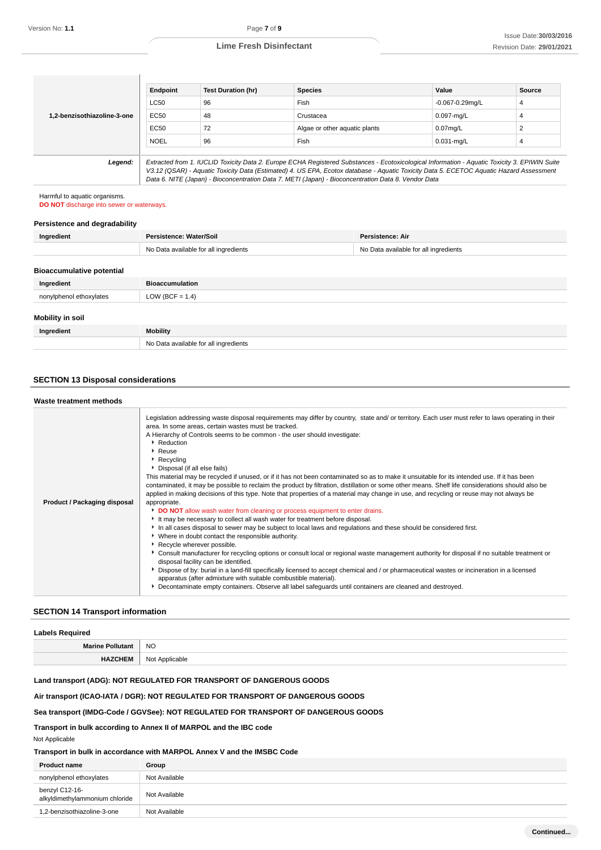|                             | Endpoint    | <b>Test Duration (hr)</b> | <b>Species</b>                                                                                                                                                                                                                                                                           | Value                | Source |
|-----------------------------|-------------|---------------------------|------------------------------------------------------------------------------------------------------------------------------------------------------------------------------------------------------------------------------------------------------------------------------------------|----------------------|--------|
|                             | <b>LC50</b> | 96                        | Fish                                                                                                                                                                                                                                                                                     | $-0.067 - 0.29$ mg/L | 4      |
| 1.2-benzisothiazoline-3-one | EC50        | 48                        | Crustacea                                                                                                                                                                                                                                                                                | $0.097$ -mg/L        |        |
|                             | EC50        | 72                        | Algae or other aquatic plants                                                                                                                                                                                                                                                            | $0.07$ mg/L          |        |
|                             | <b>NOEL</b> | 96                        | Fish                                                                                                                                                                                                                                                                                     | $0.031$ -mg/L        |        |
|                             |             |                           |                                                                                                                                                                                                                                                                                          |                      |        |
| Legend:                     |             |                           | Extracted from 1. IUCLID Toxicity Data 2. Europe ECHA Registered Substances - Ecotoxicological Information - Aquatic Toxicity 3. EPIWIN Suite<br>V3.12 (QSAR) - Aquatic Toxicity Data (Estimated) 4. US EPA, Ecotox database - Aquatic Toxicity Data 5. ECETOC Aquatic Hazard Assessment |                      |        |

Data 6. NITE (Japan) - Bioconcentration Data 7. METI (Japan) - Bioconcentration Data 8. Vendor Data

Harmful to aquatic organisms.

**DO NOT** discharge into sewer or waterways.

-1

## **Persistence and degradability**

| Ingredient                       | Persistence: Water/Soil               | <b>Persistence: Air</b>               |
|----------------------------------|---------------------------------------|---------------------------------------|
|                                  | No Data available for all ingredients | No Data available for all ingredients |
| <b>Bioaccumulative potential</b> |                                       |                                       |
| Ingredient                       | <b>Bioaccumulation</b>                |                                       |
| nonylphenol ethoxylates          | LOW (BCF = $1.4$ )                    |                                       |
| Mobility in soil                 |                                       |                                       |
| Ingredient                       | Mobility                              |                                       |
|                                  | No Data available for all ingredients |                                       |

## **SECTION 13 Disposal considerations**

## **Waste treatment methods**

| masic treatment methods      |                                                                                                                                                                                                                                                                                                                                                                                                                                                                                                                                                                                                                                                                                                                                                                                                                                                                                                                                                                                                                                                                                                                                                                                                                                                                                                                                                                                                                                                                                                                                                                                                                                                                                                                              |
|------------------------------|------------------------------------------------------------------------------------------------------------------------------------------------------------------------------------------------------------------------------------------------------------------------------------------------------------------------------------------------------------------------------------------------------------------------------------------------------------------------------------------------------------------------------------------------------------------------------------------------------------------------------------------------------------------------------------------------------------------------------------------------------------------------------------------------------------------------------------------------------------------------------------------------------------------------------------------------------------------------------------------------------------------------------------------------------------------------------------------------------------------------------------------------------------------------------------------------------------------------------------------------------------------------------------------------------------------------------------------------------------------------------------------------------------------------------------------------------------------------------------------------------------------------------------------------------------------------------------------------------------------------------------------------------------------------------------------------------------------------------|
| Product / Packaging disposal | Legislation addressing waste disposal requirements may differ by country, state and/ or territory. Each user must refer to laws operating in their<br>area. In some areas, certain wastes must be tracked.<br>A Hierarchy of Controls seems to be common - the user should investigate:<br>Reduction<br>▶ Reuse<br>Recycling<br>Disposal (if all else fails)<br>This material may be recycled if unused, or if it has not been contaminated so as to make it unsuitable for its intended use. If it has been<br>contaminated, it may be possible to reclaim the product by filtration, distillation or some other means. Shelf life considerations should also be<br>applied in making decisions of this type. Note that properties of a material may change in use, and recycling or reuse may not always be<br>appropriate.<br>DO NOT allow wash water from cleaning or process equipment to enter drains.<br>It may be necessary to collect all wash water for treatment before disposal.<br>In all cases disposal to sewer may be subject to local laws and regulations and these should be considered first.<br>• Where in doubt contact the responsible authority.<br>Recycle wherever possible.<br>▶ Consult manufacturer for recycling options or consult local or regional waste management authority for disposal if no suitable treatment or<br>disposal facility can be identified.<br>Dispose of by: burial in a land-fill specifically licensed to accept chemical and / or pharmaceutical wastes or incineration in a licensed<br>apparatus (after admixture with suitable combustible material).<br>Decontaminate empty containers. Observe all label safeguards until containers are cleaned and destroyed. |

## **SECTION 14 Transport information**

| <b>Labels Required</b>  |                |  |
|-------------------------|----------------|--|
| <b>Marine Pollutant</b> | <b>NO</b>      |  |
| HEM<br><b>TIALV</b>     | Not Applicable |  |

## **Land transport (ADG): NOT REGULATED FOR TRANSPORT OF DANGEROUS GOODS**

## **Air transport (ICAO-IATA / DGR): NOT REGULATED FOR TRANSPORT OF DANGEROUS GOODS**

## **Sea transport (IMDG-Code / GGVSee): NOT REGULATED FOR TRANSPORT OF DANGEROUS GOODS**

**Transport in bulk according to Annex II of MARPOL and the IBC code**

Not Applicable

## **Transport in bulk in accordance with MARPOL Annex V and the IMSBC Code**

| <b>Product name</b>                              | Group         |
|--------------------------------------------------|---------------|
| nonylphenol ethoxylates                          | Not Available |
| benzyl C12-16-<br>alkyldimethylammonium chloride | Not Available |
| 1.2-benzisothiazoline-3-one                      | Not Available |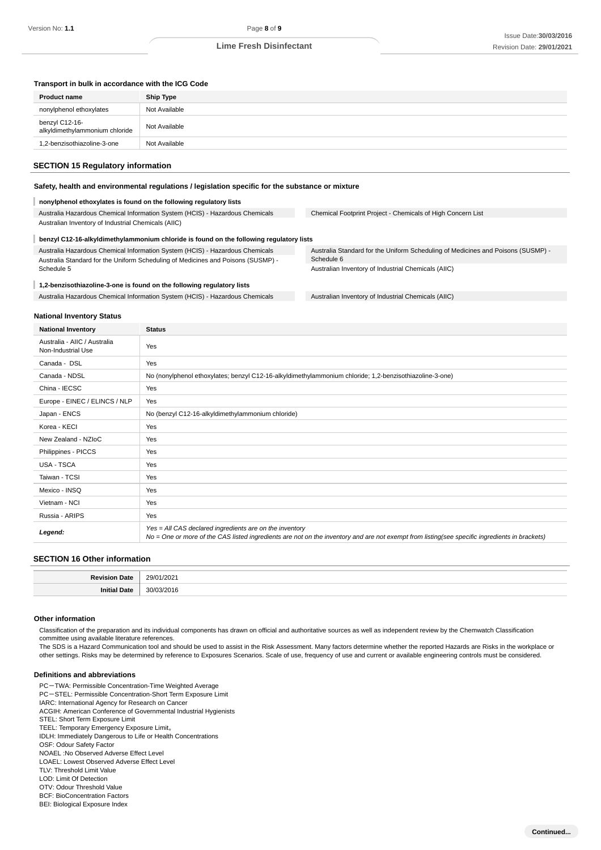## **Transport in bulk in accordance with the ICG Code**

| <b>Product name</b>                              | <b>Ship Type</b> |
|--------------------------------------------------|------------------|
| nonylphenol ethoxylates                          | Not Available    |
| benzyl C12-16-<br>alkyldimethylammonium chloride | Not Available    |
| 1.2-benzisothiazoline-3-one                      | Not Available    |

## **SECTION 15 Regulatory information**

### **Safety, health and environmental regulations / legislation specific for the substance or mixture**

#### **nonylphenol ethoxylates is found on the following regulatory lists**

Australia Hazardous Chemical Information System (HCIS) - Hazardous Chemicals Australian Inventory of Industrial Chemicals (AIIC)

Chemical Footprint Project - Chemicals of High Concern List

#### ı **benzyl C12-16-alkyldimethylammonium chloride is found on the following regulatory lists** Australia Hazardous Chemical Information System (HCIS) - Hazardous Chemicals Australia Standard for the Uniform Scheduling of Medicines and Poisons (SUSMP) - Schedule 5

## **1,2-benzisothiazoline-3-one is found on the following regulatory lists**

Australia Hazardous Chemical Information System (HCIS) - Hazardous Chemicals Australian Inventory of Industrial Chemicals (AIIC)

Australia Standard for the Uniform Scheduling of Medicines and Poisons (SUSMP) - Schedule 6 Australian Inventory of Industrial Chemicals (AIIC)

#### **National Inventory Status**

| <b>National Inventory</b>                          | <b>Status</b>                                                                                                                                                                                            |  |
|----------------------------------------------------|----------------------------------------------------------------------------------------------------------------------------------------------------------------------------------------------------------|--|
| Australia - AIIC / Australia<br>Non-Industrial Use | Yes                                                                                                                                                                                                      |  |
| Canada - DSL                                       | Yes                                                                                                                                                                                                      |  |
| Canada - NDSL                                      | No (nonylphenol ethoxylates; benzyl C12-16-alkyldimethylammonium chloride; 1,2-benzisothiazoline-3-one)                                                                                                  |  |
| China - IECSC                                      | Yes                                                                                                                                                                                                      |  |
| Europe - EINEC / ELINCS / NLP                      | Yes                                                                                                                                                                                                      |  |
| Japan - ENCS                                       | No (benzyl C12-16-alkyldimethylammonium chloride)                                                                                                                                                        |  |
| Korea - KECI                                       | Yes                                                                                                                                                                                                      |  |
| New Zealand - NZIoC                                | Yes                                                                                                                                                                                                      |  |
| Philippines - PICCS                                | Yes                                                                                                                                                                                                      |  |
| <b>USA - TSCA</b>                                  | Yes                                                                                                                                                                                                      |  |
| Taiwan - TCSI                                      | Yes                                                                                                                                                                                                      |  |
| Mexico - INSQ                                      | Yes                                                                                                                                                                                                      |  |
| Vietnam - NCI                                      | Yes                                                                                                                                                                                                      |  |
| Russia - ARIPS                                     | Yes                                                                                                                                                                                                      |  |
| Legend:                                            | Yes = All CAS declared ingredients are on the inventory<br>No = One or more of the CAS listed ingredients are not on the inventory and are not exempt from listing(see specific ingredients in brackets) |  |

## **SECTION 16 Other information**

| . . | 202.<br>י הר<br>. |
|-----|-------------------|
|     | ነበ1⊧<br>וחנ       |

#### **Other information**

Classification of the preparation and its individual components has drawn on official and authoritative sources as well as independent review by the Chemwatch Classification committee using available literature references.

The SDS is a Hazard Communication tool and should be used to assist in the Risk Assessment. Many factors determine whether the reported Hazards are Risks in the workplace or other settings. Risks may be determined by reference to Exposures Scenarios. Scale of use, frequency of use and current or available engineering controls must be considered.

#### **Definitions and abbreviations**

PC-TWA: Permissible Concentration-Time Weighted Average PC-STEL: Permissible Concentration-Short Term Exposure Limit IARC: International Agency for Research on Cancer ACGIH: American Conference of Governmental Industrial Hygienists STEL: Short Term Exposure Limit TEEL: Temporary Emergency Exposure Limit。 IDLH: Immediately Dangerous to Life or Health Concentrations OSF: Odour Safety Factor NOAEL :No Observed Adverse Effect Level LOAEL: Lowest Observed Adverse Effect Level TLV: Threshold Limit Value LOD: Limit Of Detection

OTV: Odour Threshold Value

- BCF: BioConcentration Factors
- BEI: Biological Exposure Index